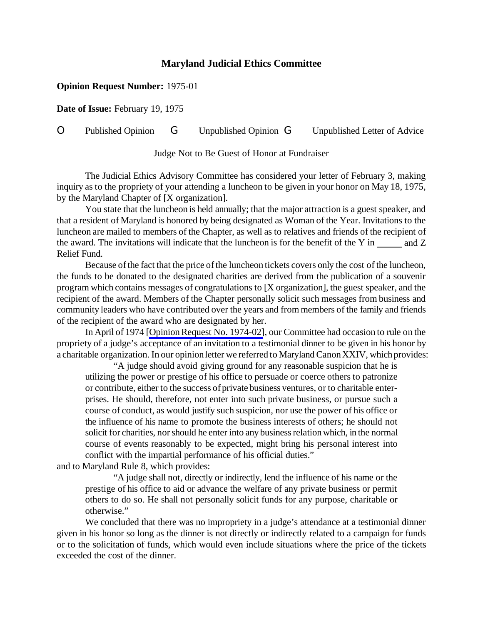## **Maryland Judicial Ethics Committee**

## **Opinion Request Number:** 1975-01

**Date of Issue:** February 19, 1975

## O Published Opinion G Unpublished Opinion G Unpublished Letter of Advice

Judge Not to Be Guest of Honor at Fundraiser

The Judicial Ethics Advisory Committee has considered your letter of February 3, making inquiry as to the propriety of your attending a luncheon to be given in your honor on May 18, 1975, by the Maryland Chapter of [X organization].

You state that the luncheon is held annually; that the major attraction is a guest speaker, and that a resident of Maryland is honored by being designated as Woman of the Year. Invitations to the luncheon are mailed to members of the Chapter, as well as to relatives and friends of the recipient of the award. The invitations will indicate that the luncheon is for the benefit of the Y in and Z Relief Fund.

Because of the fact that the price of the luncheon tickets covers only the cost of the luncheon, the funds to be donated to the designated charities are derived from the publication of a souvenir program which contains messages of congratulations to [X organization], the guest speaker, and the recipient of the award. Members of the Chapter personally solicit such messages from business and community leaders who have contributed over the years and from members of the family and friends of the recipient of the award who are designated by her.

In April of 1974 [Opinion Request No. 1974-02], our Committee had occasion to rule on the propriety of a judge's acceptance of an invitation to a testimonial dinner to be given in his honor by a charitable organization. In our opinion letter we referred to Maryland Canon XXIV, which provides:

"A judge should avoid giving ground for any reasonable suspicion that he is utilizing the power or prestige of his office to persuade or coerce others to patronize or contribute, either to the success of private business ventures, or to charitable enterprises. He should, therefore, not enter into such private business, or pursue such a course of conduct, as would justify such suspicion, nor use the power of his office or the influence of his name to promote the business interests of others; he should not solicit for charities, nor should he enter into any business relation which, in the normal course of events reasonably to be expected, might bring his personal interest into conflict with the impartial performance of his official duties."

and to Maryland Rule 8, which provides:

"A judge shall not, directly or indirectly, lend the influence of his name or the prestige of his office to aid or advance the welfare of any private business or permit others to do so. He shall not personally solicit funds for any purpose, charitable or otherwise."

We concluded that there was no impropriety in a judge's attendance at a testimonial dinner given in his honor so long as the dinner is not directly or indirectly related to a campaign for funds or to the solicitation of funds, which would even include situations where the price of the tickets exceeded the cost of the dinner.